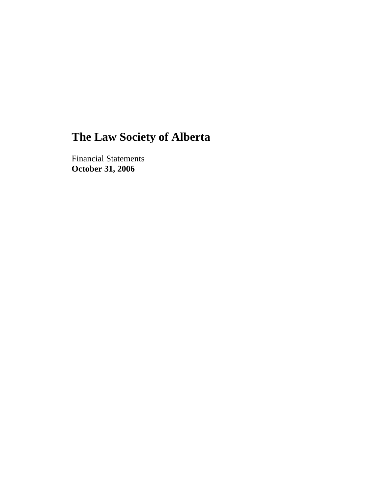Financial Statements **October 31, 2006**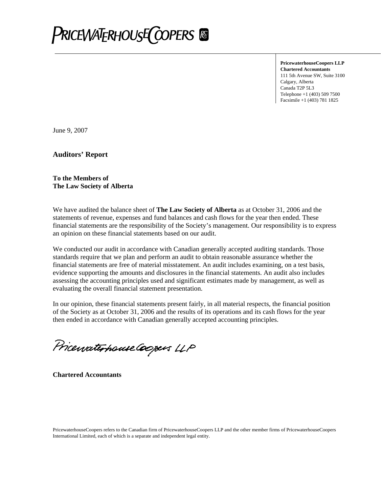

**PricewaterhouseCoopers LLP Chartered Accountants**  111 5th Avenue SW, Suite 3100 Calgary, Alberta Canada T2P 5L3 Telephone +1 (403) 509 7500 Facsimile +1 (403) 781 1825

June 9, 2007

**Auditors' Report** 

#### **To the Members of The Law Society of Alberta**

We have audited the balance sheet of **The Law Society of Alberta** as at October 31, 2006 and the statements of revenue, expenses and fund balances and cash flows for the year then ended. These financial statements are the responsibility of the Society's management. Our responsibility is to express an opinion on these financial statements based on our audit.

We conducted our audit in accordance with Canadian generally accepted auditing standards. Those standards require that we plan and perform an audit to obtain reasonable assurance whether the financial statements are free of material misstatement. An audit includes examining, on a test basis, evidence supporting the amounts and disclosures in the financial statements. An audit also includes assessing the accounting principles used and significant estimates made by management, as well as evaluating the overall financial statement presentation.

In our opinion, these financial statements present fairly, in all material respects, the financial position of the Society as at October 31, 2006 and the results of its operations and its cash flows for the year then ended in accordance with Canadian generally accepted accounting principles.

Pricewaterhouse Coopers LLP

**Chartered Accountants**

PricewaterhouseCoopers refers to the Canadian firm of PricewaterhouseCoopers LLP and the other member firms of PricewaterhouseCoopers International Limited, each of which is a separate and independent legal entity.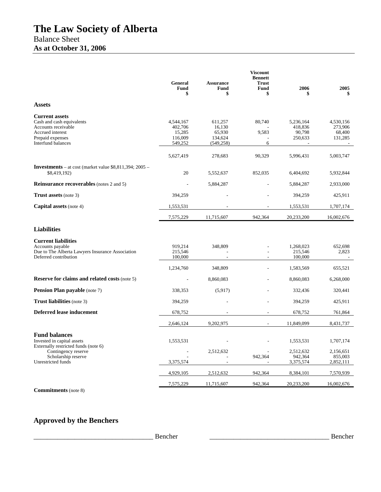|                                                                                                                                                | <b>General</b><br>Fund<br>\$                         | <b>Assurance</b><br>Fund<br>\$                       | <b>Viscount</b><br><b>Bennett</b><br><b>Trust</b><br><b>Fund</b><br>\$ | 2006                                      | 2005<br>\$                                          |
|------------------------------------------------------------------------------------------------------------------------------------------------|------------------------------------------------------|------------------------------------------------------|------------------------------------------------------------------------|-------------------------------------------|-----------------------------------------------------|
| <b>Assets</b>                                                                                                                                  |                                                      |                                                      |                                                                        |                                           |                                                     |
| <b>Current assets</b><br>Cash and cash equivalents<br>Accounts receivable<br>Accrued interest<br>Prepaid expenses<br><b>Interfund balances</b> | 4,544,167<br>402,706<br>15,285<br>116,009<br>549,252 | 611,257<br>16,130<br>65,930<br>134,624<br>(549, 258) | 80,740<br>9,583<br>6                                                   | 5,236,164<br>418,836<br>90,798<br>250,633 | 4,530,156<br>273,906<br>68,400<br>131,285<br>$\sim$ |
|                                                                                                                                                | 5,627,419                                            | 278,683                                              | 90,329                                                                 | 5,996,431                                 | 5,003,747                                           |
| <b>Investments</b> – at cost (market value $$8,811,394;2005$ –<br>\$8,419,192)                                                                 | 20                                                   | 5,552,637                                            | 852,035                                                                | 6,404,692                                 | 5,932,844                                           |
| <b>Reinsurance recoverables</b> (notes 2 and 5)                                                                                                |                                                      | 5,884,287                                            |                                                                        | 5,884,287                                 | 2,933,000                                           |
| <b>Trust assets</b> (note 3)                                                                                                                   | 394,259                                              |                                                      |                                                                        | 394,259                                   | 425,911                                             |
| <b>Capital assets</b> (note 4)                                                                                                                 | 1,553,531                                            |                                                      |                                                                        | 1,553,531                                 | 1,707,174                                           |
|                                                                                                                                                | 7,575,229                                            | 11,715,607                                           | 942,364                                                                | 20,233,200                                | 16,002,676                                          |
| <b>Liabilities</b>                                                                                                                             |                                                      |                                                      |                                                                        |                                           |                                                     |
| <b>Current liabilities</b><br>Accounts payable<br>Due to The Alberta Lawyers Insurance Association<br>Deferred contribution                    | 919,214<br>215,546<br>100,000                        | 348,809                                              |                                                                        | 1,268,023<br>215,546<br>100,000           | 652,698<br>2,823                                    |
|                                                                                                                                                | 1,234,760                                            | 348,809                                              |                                                                        | 1,583,569                                 | 655,521                                             |
| <b>Reserve for claims and related costs (note 5)</b>                                                                                           |                                                      | 8,860,083                                            |                                                                        | 8,860,083                                 | 6,268,000                                           |
| <b>Pension Plan payable</b> (note 7)                                                                                                           | 338,353                                              | (5,917)                                              |                                                                        | 332,436                                   | 320,441                                             |
| <b>Trust liabilities</b> (note 3)                                                                                                              | 394,259                                              |                                                      |                                                                        | 394,259                                   | 425,911                                             |
| <b>Deferred lease inducement</b>                                                                                                               | 678,752                                              |                                                      |                                                                        | 678,752                                   | 761,864                                             |
|                                                                                                                                                | 2,646,124                                            | 9,202,975                                            |                                                                        | 11,849,099                                | 8,431,737                                           |
| <b>Fund balances</b><br>Invested in capital assets<br>Externally restricted funds (note 6)                                                     | 1,553,531                                            |                                                      |                                                                        | 1,553,531                                 | 1,707,174                                           |
| Contingency reserve<br>Scholarship reserve                                                                                                     |                                                      | 2,512,632                                            | 942,364                                                                | 2,512,632<br>942,364                      | 2,156,651<br>855,003                                |
| Unrestricted funds                                                                                                                             | 3,375,574                                            |                                                      |                                                                        | 3,375,574                                 | 2,852,111                                           |
|                                                                                                                                                | 4,929,105                                            | 2,512,632                                            | 942,364                                                                | 8,384,101                                 | 7,570,939                                           |
| $\sim$                                                                                                                                         | 7,575,229                                            | 11,715,607                                           | 942,364                                                                | 20,233,200                                | 16,002,676                                          |

**Commitments** (note 8)

## **Approved by the Benchers**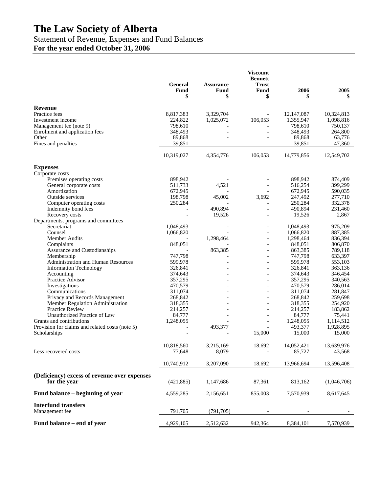## Statement of Revenue, Expenses and Fund Balances

**For the year ended October 31, 2006** 

|                                                 | <b>General</b> | <b>Assurance</b>         | <b>Viscount</b><br><b>Bennett</b><br><b>Trust</b> |            |             |
|-------------------------------------------------|----------------|--------------------------|---------------------------------------------------|------------|-------------|
|                                                 | Fund<br>\$     | Fund<br>\$               | Fund<br>\$                                        | 2006<br>\$ | 2005<br>\$  |
| Revenue                                         |                |                          |                                                   |            |             |
| Practice fees                                   | 8,817,383      | 3,329,704                |                                                   | 12,147,087 | 10,324,813  |
| Investment income                               | 224,822        | 1,025,072                | 106,053                                           | 1,355,947  | 1,098,816   |
| Management fee (note 9)                         | 798,610        |                          |                                                   | 798,610    | 750,137     |
| Enrolment and application fees                  | 348,493        |                          |                                                   | 348,493    | 264,800     |
| Other                                           | 89,868         |                          |                                                   | 89,868     | 63,776      |
| Fines and penalties                             | 39,851         |                          | $\overline{\phantom{a}}$                          | 39,851     | 47,360      |
|                                                 | 10,319,027     | 4,354,776                | 106,053                                           | 14,779,856 | 12,549,702  |
| <b>Expenses</b>                                 |                |                          |                                                   |            |             |
| Corporate costs                                 |                |                          |                                                   |            |             |
| Premises operating costs                        | 898,942        |                          |                                                   | 898,942    | 874,409     |
| General corporate costs                         | 511,733        | 4,521                    |                                                   | 516,254    | 399,299     |
| Amortization                                    | 672,945        |                          |                                                   | 672,945    | 590,035     |
| Outside services                                | 198,798        | 45,002                   | 3,692                                             | 247,492    | 277,710     |
| Computer operating costs                        | 250,284        |                          |                                                   | 250,284    | 332,378     |
| Indemnity bond fees                             |                | 490.894                  | $\overline{a}$                                    | 490,894    | 231,460     |
| Recovery costs                                  |                | 19,526                   | $\overline{a}$                                    | 19,526     | 2,867       |
| Departments, programs and committees            |                |                          |                                                   |            |             |
| Secretariat                                     | 1,048,493      |                          |                                                   | 1,048,493  | 975,209     |
| Counsel                                         | 1,066,820      |                          | $\overline{\phantom{a}}$                          | 1,066,820  | 887,385     |
| Member Audits                                   |                | 1,298,464                | $\overline{\phantom{a}}$                          | 1,298,464  | 836,394     |
| Complaints                                      | 848,051        |                          |                                                   | 848,051    | 806,870     |
| Assurance and Custodianships                    |                | 863,385                  | $\overline{\phantom{a}}$                          | 863,385    | 789,118     |
| Membership                                      | 747,798        |                          | $\overline{a}$                                    | 747,798    | 633,397     |
| <b>Administration and Human Resources</b>       | 599,978        |                          | $\overline{\phantom{a}}$                          | 599,978    | 553,103     |
| <b>Information Technology</b>                   | 326,841        |                          | $\overline{\phantom{a}}$                          | 326,841    | 363,136     |
| Accounting                                      | 374,643        |                          |                                                   | 374,643    | 346,454     |
| Practice Advisor                                | 357,295        |                          |                                                   | 357,295    | 340,563     |
| Investigations                                  | 470,579        |                          | $\overline{a}$                                    | 470,579    | 286,014     |
| Communications                                  | 311,074        |                          | $\overline{\phantom{a}}$                          | 311,074    | 281,847     |
| Privacy and Records Management                  | 268,842        |                          |                                                   | 268,842    | 259,698     |
| Member Regulation Administration                | 318,355        |                          | $\overline{a}$                                    | 318,355    | 254,920     |
| <b>Practice Review</b>                          | 214,257        |                          |                                                   | 214,257    | 183,862     |
| Unauthorized Practice of Law                    | 84,777         |                          |                                                   | 84,777     | 75,441      |
| Grants and contributions                        | 1,248,055      |                          | $\overline{\phantom{a}}$                          | 1,248,055  | 1,114,512   |
| Provision for claims and related costs (note 5) |                | 493,377                  |                                                   | 493,377    | 1,928,895   |
| Scholarships                                    |                | $\overline{\phantom{a}}$ | 15,000                                            | 15,000     | 15,000      |
|                                                 |                |                          |                                                   |            |             |
|                                                 | 10,818,560     | 3,215,169                | 18,692                                            | 14,052,421 | 13,639,976  |
| Less recovered costs                            | 77,648         | 8,079                    | $\overline{\phantom{a}}$                          | 85,727     | 43,568      |
|                                                 | 10,740,912     | 3,207,090                | 18,692                                            | 13,966,694 | 13,596,408  |
| (Deficiency) excess of revenue over expenses    |                |                          |                                                   |            |             |
| for the year                                    | (421, 885)     | 1,147,686                | 87,361                                            | 813,162    | (1,046,706) |
| Fund balance – beginning of year                | 4,559,285      | 2,156,651                | 855,003                                           | 7,570,939  | 8,617,645   |
|                                                 |                |                          |                                                   |            |             |
| <b>Interfund transfers</b>                      |                |                          |                                                   |            |             |
| Management fee                                  | 791,705        | (791, 705)               |                                                   |            |             |
| Fund balance - end of year                      | 4,929,105      | 2,512,632                | 942,364                                           | 8,384,101  | 7,570,939   |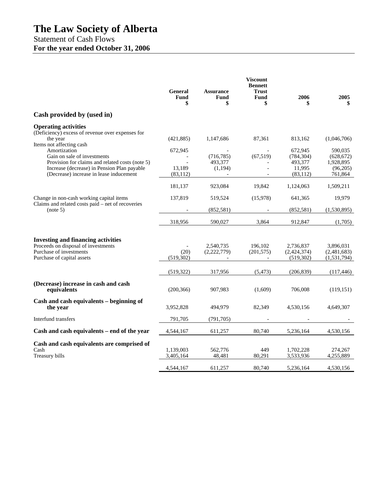## Statement of Cash Flows **For the year ended October 31, 2006**

|                                                                                                                                                                                                                                                                                                                     | General<br>Fund<br>\$                        | <b>Assurance</b><br><b>Fund</b><br>\$          | <b>Viscount</b><br><b>Bennett</b><br><b>Trust</b><br><b>Fund</b><br>\$ | 2006<br>\$                                                         | 2005<br>\$                                                               |
|---------------------------------------------------------------------------------------------------------------------------------------------------------------------------------------------------------------------------------------------------------------------------------------------------------------------|----------------------------------------------|------------------------------------------------|------------------------------------------------------------------------|--------------------------------------------------------------------|--------------------------------------------------------------------------|
| Cash provided by (used in)                                                                                                                                                                                                                                                                                          |                                              |                                                |                                                                        |                                                                    |                                                                          |
| <b>Operating activities</b><br>(Deficiency) excess of revenue over expenses for<br>the year<br>Items not affecting cash<br>Amortization<br>Gain on sale of investments<br>Provision for claims and related costs (note 5)<br>Increase (decrease) in Pension Plan payable<br>(Decrease) increase in lease inducement | (421, 885)<br>672,945<br>13,189<br>(83, 112) | 1,147,686<br>(716, 785)<br>493,377<br>(1, 194) | 87,361<br>(67, 519)                                                    | 813,162<br>672,945<br>(784, 304)<br>493,377<br>11,995<br>(83, 112) | (1,046,706)<br>590,035<br>(628, 672)<br>1,928,895<br>(96,205)<br>761,864 |
|                                                                                                                                                                                                                                                                                                                     | 181,137                                      | 923,084                                        | 19.842                                                                 | 1,124,063                                                          | 1,509,211                                                                |
| Change in non-cash working capital items                                                                                                                                                                                                                                                                            | 137,819                                      | 519,524                                        | (15,978)                                                               | 641,365                                                            | 19,979                                                                   |
| Claims and related costs paid – net of recoveries<br>(note 5)                                                                                                                                                                                                                                                       |                                              | (852, 581)                                     |                                                                        | (852, 581)                                                         | (1,530,895)                                                              |
|                                                                                                                                                                                                                                                                                                                     | 318,956                                      | 590,027                                        | 3.864                                                                  | 912,847                                                            | (1,705)                                                                  |
| <b>Investing and financing activities</b><br>Proceeds on disposal of investments<br>Purchase of investments<br>Purchase of capital assets                                                                                                                                                                           | (20)<br>(519, 302)                           | 2,540,735<br>(2,222,779)                       | 196,102<br>(201, 575)                                                  | 2,736,837<br>(2,424,374)<br>(519, 302)                             | 3,896,031<br>(2,481,683)<br>(1, 531, 794)                                |
|                                                                                                                                                                                                                                                                                                                     | (519, 322)                                   | 317,956                                        | (5, 473)                                                               | (206, 839)                                                         | (117, 446)                                                               |
| (Decrease) increase in cash and cash<br>equivalents                                                                                                                                                                                                                                                                 | (200, 366)                                   | 907,983                                        | (1,609)                                                                | 706,008                                                            | (119, 151)                                                               |
| Cash and cash equivalents – beginning of<br>the year                                                                                                                                                                                                                                                                | 3,952,828                                    | 494,979                                        | 82,349                                                                 | 4,530,156                                                          | 4,649,307                                                                |
| Interfund transfers                                                                                                                                                                                                                                                                                                 | 791,705                                      | (791, 705)                                     |                                                                        |                                                                    |                                                                          |
| Cash and cash equivalents – end of the year                                                                                                                                                                                                                                                                         | 4,544,167                                    | 611,257                                        | 80.740                                                                 | 5,236,164                                                          | 4,530,156                                                                |
| Cash and cash equivalents are comprised of<br>Cash<br>Treasury bills                                                                                                                                                                                                                                                | 1,139,003<br>3,405,164                       | 562,776<br>48,481                              | 449<br>80,291                                                          | 1,702,228<br>3,533,936                                             | 274,267<br>4,255,889                                                     |
|                                                                                                                                                                                                                                                                                                                     | 4,544,167                                    | 611,257                                        | 80,740                                                                 | 5,236,164                                                          | 4,530,156                                                                |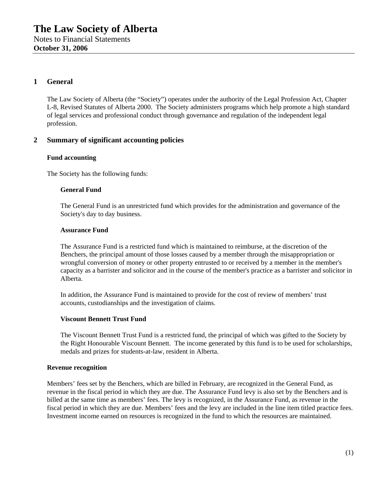## **1 General**

The Law Society of Alberta (the "Society") operates under the authority of the Legal Profession Act, Chapter L-8, Revised Statutes of Alberta 2000. The Society administers programs which help promote a high standard of legal services and professional conduct through governance and regulation of the independent legal profession.

## **2 Summary of significant accounting policies**

#### **Fund accounting**

The Society has the following funds:

#### **General Fund**

The General Fund is an unrestricted fund which provides for the administration and governance of the Society's day to day business.

#### **Assurance Fund**

The Assurance Fund is a restricted fund which is maintained to reimburse, at the discretion of the Benchers, the principal amount of those losses caused by a member through the misappropriation or wrongful conversion of money or other property entrusted to or received by a member in the member's capacity as a barrister and solicitor and in the course of the member's practice as a barrister and solicitor in Alberta.

In addition, the Assurance Fund is maintained to provide for the cost of review of members' trust accounts, custodianships and the investigation of claims.

#### **Viscount Bennett Trust Fund**

The Viscount Bennett Trust Fund is a restricted fund, the principal of which was gifted to the Society by the Right Honourable Viscount Bennett. The income generated by this fund is to be used for scholarships, medals and prizes for students-at-law, resident in Alberta.

#### **Revenue recognition**

Members' fees set by the Benchers, which are billed in February, are recognized in the General Fund, as revenue in the fiscal period in which they are due. The Assurance Fund levy is also set by the Benchers and is billed at the same time as members' fees. The levy is recognized, in the Assurance Fund, as revenue in the fiscal period in which they are due. Members' fees and the levy are included in the line item titled practice fees. Investment income earned on resources is recognized in the fund to which the resources are maintained.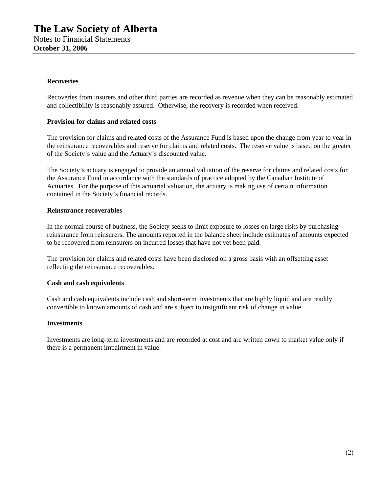#### **Recoveries**

Recoveries from insurers and other third parties are recorded as revenue when they can be reasonably estimated and collectibility is reasonably assured. Otherwise, the recovery is recorded when received.

#### **Provision for claims and related costs**

The provision for claims and related costs of the Assurance Fund is based upon the change from year to year in the reinsurance recoverables and reserve for claims and related costs. The reserve value is based on the greater of the Society's value and the Actuary's discounted value.

The Society's actuary is engaged to provide an annual valuation of the reserve for claims and related costs for the Assurance Fund in accordance with the standards of practice adopted by the Canadian Institute of Actuaries. For the purpose of this actuarial valuation, the actuary is making use of certain information contained in the Society's financial records.

#### **Reinsurance recoverables**

In the normal course of business, the Society seeks to limit exposure to losses on large risks by purchasing reinsurance from reinsurers. The amounts reported in the balance sheet include estimates of amounts expected to be recovered from reinsurers on incurred losses that have not yet been paid.

The provision for claims and related costs have been disclosed on a gross basis with an offsetting asset reflecting the reinsurance recoverables.

#### **Cash and cash equivalents**

Cash and cash equivalents include cash and short-term investments that are highly liquid and are readily convertible to known amounts of cash and are subject to insignificant risk of change in value.

#### **Investments**

Investments are long-term investments and are recorded at cost and are written down to market value only if there is a permanent impairment in value.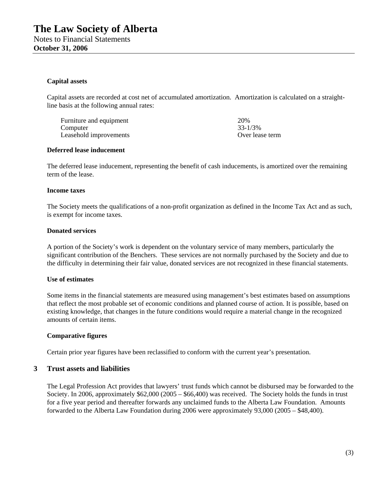#### **Capital assets**

Capital assets are recorded at cost net of accumulated amortization. Amortization is calculated on a straightline basis at the following annual rates:

Furniture and equipment 20% 20%<br>Computer 20% 23-1/3% Computer Leasehold improvements Over lease term

#### **Deferred lease inducement**

The deferred lease inducement, representing the benefit of cash inducements, is amortized over the remaining term of the lease.

#### **Income taxes**

The Society meets the qualifications of a non-profit organization as defined in the Income Tax Act and as such, is exempt for income taxes.

#### **Donated services**

A portion of the Society's work is dependent on the voluntary service of many members, particularly the significant contribution of the Benchers. These services are not normally purchased by the Society and due to the difficulty in determining their fair value, donated services are not recognized in these financial statements.

#### **Use of estimates**

Some items in the financial statements are measured using management's best estimates based on assumptions that reflect the most probable set of economic conditions and planned course of action. It is possible, based on existing knowledge, that changes in the future conditions would require a material change in the recognized amounts of certain items.

#### **Comparative figures**

Certain prior year figures have been reclassified to conform with the current year's presentation.

### **3 Trust assets and liabilities**

The Legal Profession Act provides that lawyers' trust funds which cannot be disbursed may be forwarded to the Society. In 2006, approximately \$62,000 (2005 – \$66,400) was received. The Society holds the funds in trust for a five year period and thereafter forwards any unclaimed funds to the Alberta Law Foundation. Amounts forwarded to the Alberta Law Foundation during 2006 were approximately 93,000 (2005 – \$48,400).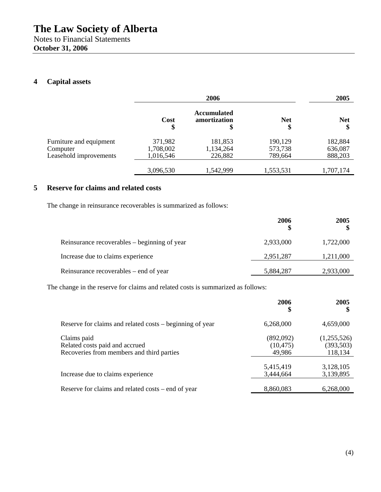## **4 Capital assets**

|                         |            | 2006                                     |                  | 2005             |
|-------------------------|------------|------------------------------------------|------------------|------------------|
|                         | Cost<br>\$ | <b>Accumulated</b><br>amortization<br>\$ | <b>Net</b><br>\$ | <b>Net</b><br>\$ |
| Furniture and equipment | 371,982    | 181,853                                  | 190,129          | 182,884          |
| Computer                | 1,708,002  | 1,134,264                                | 573,738          | 636,087          |
| Leasehold improvements  | 1,016,546  | 226,882                                  | 789,664          | 888,203          |
|                         | 3,096,530  | 1,542,999                                | 1,553,531        | 1,707,174        |

## **5 Reserve for claims and related costs**

The change in reinsurance recoverables is summarized as follows:

|                                              | 2006      | 2005      |
|----------------------------------------------|-----------|-----------|
| Reinsurance recoverables – beginning of year | 2,933,000 | 1,722,000 |
| Increase due to claims experience            | 2,951,287 | 1,211,000 |
| Reinsurance recoverables – end of year       | 5,884,287 | 2,933,000 |

The change in the reserve for claims and related costs is summarized as follows:

|                                                                                            | 2006<br>\$                       | 2005<br>\$                           |
|--------------------------------------------------------------------------------------------|----------------------------------|--------------------------------------|
| Reserve for claims and related costs – beginning of year                                   | 6,268,000                        | 4,659,000                            |
| Claims paid<br>Related costs paid and accrued<br>Recoveries from members and third parties | (892,092)<br>(10, 475)<br>49,986 | (1,255,526)<br>(393, 503)<br>118,134 |
| Increase due to claims experience                                                          | 5,415,419<br>3,444,664           | 3,128,105<br>3,139,895               |
| Reserve for claims and related costs – end of year                                         | 8,860,083                        | 6,268,000                            |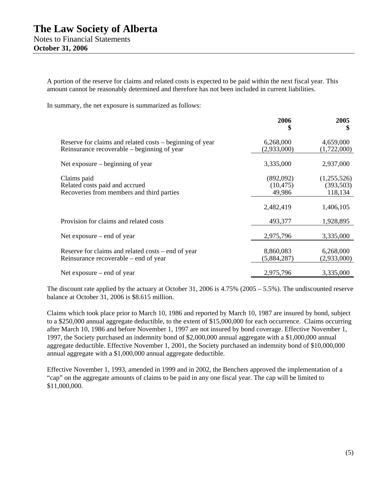A portion of the reserve for claims and related costs is expected to be paid within the next fiscal year. This amount cannot be reasonably determined and therefore has not been included in current liabilities.

In summary, the net exposure is summarized as follows:

|                                                                                                         | 2006<br>S                        | 2005<br>\$                           |
|---------------------------------------------------------------------------------------------------------|----------------------------------|--------------------------------------|
| Reserve for claims and related costs – beginning of year<br>Reinsurance recoverable – beginning of year | 6,268,000<br>(2,933,000)         | 4,659,000<br>(1,722,000)             |
| Net exposure $-$ beginning of year                                                                      | 3,335,000                        | 2,937,000                            |
| Claims paid<br>Related costs paid and accrued<br>Recoveries from members and third parties              | (892,092)<br>(10, 475)<br>49,986 | (1,255,526)<br>(393, 503)<br>118,134 |
|                                                                                                         | 2,482,419                        | 1,406,105                            |
| Provision for claims and related costs                                                                  | 493,377                          | 1,928,895                            |
| Net exposure $-$ end of year                                                                            | 2,975,796                        | 3,335,000                            |
| Reserve for claims and related costs – end of year<br>Reinsurance recoverable – end of year             | 8,860,083<br>(5,884,287)         | 6,268,000<br>(2,933,000)             |
| Net exposure $-$ end of year                                                                            | 2,975,796                        | 3,335,000                            |

The discount rate applied by the actuary at October 31, 2006 is 4.75% (2005 – 5.5%). The undiscounted reserve balance at October 31, 2006 is \$8.615 million.

Claims which took place prior to March 10, 1986 and reported by March 10, 1987 are insured by bond, subject to a \$250,000 annual aggregate deductible, to the extent of \$15,000,000 for each occurrence. Claims occurring after March 10, 1986 and before November 1, 1997 are not insured by bond coverage. Effective November 1, 1997, the Society purchased an indemnity bond of \$2,000,000 annual aggregate with a \$1,000,000 annual aggregate deductible. Effective November 1, 2001, the Society purchased an indemnity bond of \$10,000,000 annual aggregate with a \$1,000,000 annual aggregate deductible.

Effective November 1, 1993, amended in 1999 and in 2002, the Benchers approved the implementation of a "cap" on the aggregate amounts of claims to be paid in any one fiscal year. The cap will be limited to \$11,000,000.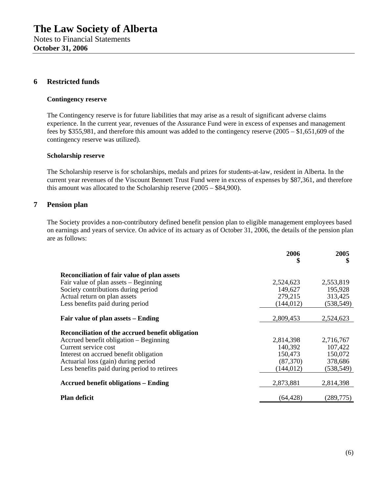### **6 Restricted funds**

#### **Contingency reserve**

The Contingency reserve is for future liabilities that may arise as a result of significant adverse claims experience. In the current year, revenues of the Assurance Fund were in excess of expenses and management fees by \$355,981, and therefore this amount was added to the contingency reserve (2005 – \$1,651,609 of the contingency reserve was utilized).

#### **Scholarship reserve**

The Scholarship reserve is for scholarships, medals and prizes for students-at-law, resident in Alberta. In the current year revenues of the Viscount Bennett Trust Fund were in excess of expenses by \$87,361, and therefore this amount was allocated to the Scholarship reserve (2005 – \$84,900).

## **7 Pension plan**

The Society provides a non-contributory defined benefit pension plan to eligible management employees based on earnings and years of service. On advice of its actuary as of October 31, 2006, the details of the pension plan are as follows:

|                                                  | 2006<br>\$ | 2005<br>\$ |
|--------------------------------------------------|------------|------------|
| Reconciliation of fair value of plan assets      |            |            |
| Fair value of plan assets – Beginning            | 2,524,623  | 2,553,819  |
| Society contributions during period              | 149,627    | 195,928    |
| Actual return on plan assets                     | 279,215    | 313,425    |
| Less benefits paid during period                 | (144, 012) | (538, 549) |
|                                                  |            |            |
| Fair value of plan assets – Ending               | 2,809,453  | 2,524,623  |
| Reconciliation of the accrued benefit obligation |            |            |
| Accrued benefit obligation – Beginning           | 2,814,398  | 2,716,767  |
| Current service cost                             | 140,392    | 107,422    |
| Interest on accrued benefit obligation           | 150,473    | 150,072    |
| Actuarial loss (gain) during period              | (87,370)   | 378,686    |
| Less benefits paid during period to retirees     | (144, 012) | (538, 549) |
| <b>Accrued benefit obligations – Ending</b>      | 2,873,881  | 2,814,398  |
| <b>Plan deficit</b>                              | (64, 428)  | (289, 775) |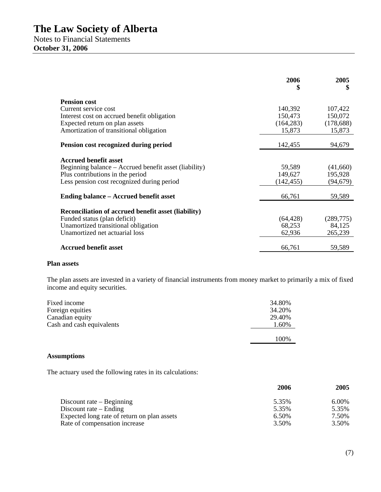Notes to Financial Statements **October 31, 2006** 

|                                                            | 2006<br>\$ | 2005<br>\$ |
|------------------------------------------------------------|------------|------------|
| <b>Pension cost</b>                                        |            |            |
| Current service cost                                       | 140,392    | 107,422    |
| Interest cost on accrued benefit obligation                | 150,473    | 150,072    |
| Expected return on plan assets                             | (164, 283) | (178, 688) |
| Amortization of transitional obligation                    | 15,873     | 15,873     |
| Pension cost recognized during period                      | 142,455    | 94,679     |
| <b>Accrued benefit asset</b>                               |            |            |
| Beginning balance – Accrued benefit asset (liability)      | 59,589     | (41,660)   |
| Plus contributions in the period                           | 149,627    | 195,928    |
| Less pension cost recognized during period                 | (142, 455) | (94, 679)  |
| Ending balance – Accrued benefit asset                     | 66,761     | 59,589     |
| <b>Reconciliation of accrued benefit asset (liability)</b> |            |            |
| Funded status (plan deficit)                               | (64, 428)  | (289, 775) |
| Unamortized transitional obligation                        | 68,253     | 84,125     |
| Unamortized net actuarial loss                             | 62,936     | 265,239    |
| <b>Accrued benefit asset</b>                               | 66,761     | 59,589     |

### **Plan assets**

The plan assets are invested in a variety of financial instruments from money market to primarily a mix of fixed income and equity securities.

| Fixed income              | 34.80% |
|---------------------------|--------|
| Foreign equities          | 34.20% |
| Canadian equity           | 29.40% |
| Cash and cash equivalents | 1.60%  |
|                           |        |
|                           | 100%   |

## **Assumptions**

The actuary used the following rates in its calculations:

|                                             | 2006  | 2005  |
|---------------------------------------------|-------|-------|
| Discount rate $-$ Beginning                 | 5.35% | 6.00% |
| Discount rate $-$ Ending                    | 5.35% | 5.35% |
| Expected long rate of return on plan assets | 6.50% | 7.50% |
| Rate of compensation increase               | 3.50% | 3.50% |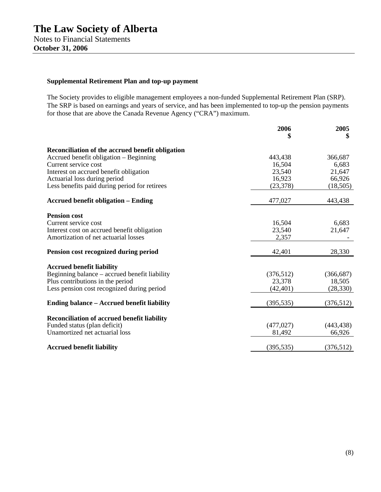## **Supplemental Retirement Plan and top-up payment**

The Society provides to eligible management employees a non-funded Supplemental Retirement Plan (SRP). The SRP is based on earnings and years of service, and has been implemented to top-up the pension payments for those that are above the Canada Revenue Agency ("CRA") maximum.

|                                                    | 2006       | 2005       |
|----------------------------------------------------|------------|------------|
|                                                    | \$         | \$         |
| Reconciliation of the accrued benefit obligation   |            |            |
| Accrued benefit obligation – Beginning             | 443,438    | 366,687    |
| Current service cost                               | 16,504     | 6,683      |
| Interest on accrued benefit obligation             | 23,540     | 21,647     |
| Actuarial loss during period                       | 16,923     | 66,926     |
| Less benefits paid during period for retirees      | (23, 378)  | (18, 505)  |
| <b>Accrued benefit obligation – Ending</b>         | 477,027    | 443,438    |
| <b>Pension cost</b>                                |            |            |
| Current service cost                               | 16,504     | 6,683      |
| Interest cost on accrued benefit obligation        | 23,540     | 21,647     |
| Amortization of net actuarial losses               | 2,357      |            |
| Pension cost recognized during period              | 42,401     | 28,330     |
| <b>Accrued benefit liability</b>                   |            |            |
| Beginning balance - accrued benefit liability      | (376,512)  | (366, 687) |
| Plus contributions in the period                   | 23,378     | 18,505     |
| Less pension cost recognized during period         | (42, 401)  | (28, 330)  |
| <b>Ending balance – Accrued benefit liability</b>  | (395, 535) | (376,512)  |
| <b>Reconciliation of accrued benefit liability</b> |            |            |
| Funded status (plan deficit)                       | (477, 027) | (443, 438) |
| Unamortized net actuarial loss                     | 81,492     | 66,926     |
|                                                    |            |            |
| <b>Accrued benefit liability</b>                   | (395, 535) | (376, 512) |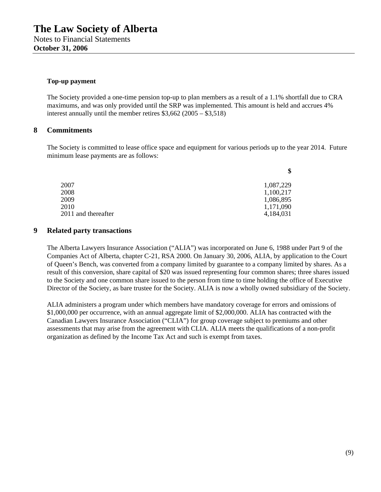#### **Top-up payment**

The Society provided a one-time pension top-up to plan members as a result of a 1.1% shortfall due to CRA maximums, and was only provided until the SRP was implemented. This amount is held and accrues 4% interest annually until the member retires \$3,662 (2005 – \$3,518)

### **8 Commitments**

The Society is committed to lease office space and equipment for various periods up to the year 2014. Future minimum lease payments are as follows:

|                     | ъ         |
|---------------------|-----------|
| 2007                | 1,087,229 |
| 2008                | 1,100,217 |
| 2009                | 1,086,895 |
| 2010                | 1,171,090 |
| 2011 and thereafter | 4,184,031 |
|                     |           |

### **9 Related party transactions**

The Alberta Lawyers Insurance Association ("ALIA") was incorporated on June 6, 1988 under Part 9 of the Companies Act of Alberta, chapter C-21, RSA 2000. On January 30, 2006, ALIA, by application to the Court of Queen's Bench, was converted from a company limited by guarantee to a company limited by shares. As a result of this conversion, share capital of \$20 was issued representing four common shares; three shares issued to the Society and one common share issued to the person from time to time holding the office of Executive Director of the Society, as bare trustee for the Society. ALIA is now a wholly owned subsidiary of the Society.

ALIA administers a program under which members have mandatory coverage for errors and omissions of \$1,000,000 per occurrence, with an annual aggregate limit of \$2,000,000. ALIA has contracted with the Canadian Lawyers Insurance Association ("CLIA") for group coverage subject to premiums and other assessments that may arise from the agreement with CLIA. ALIA meets the qualifications of a non-profit organization as defined by the Income Tax Act and such is exempt from taxes.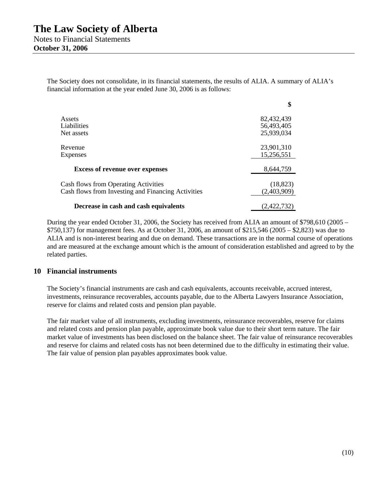The Society does not consolidate, in its financial statements, the results of ALIA. A summary of ALIA's financial information at the year ended June 30, 2006 is as follows:

|                                                    | \$          |
|----------------------------------------------------|-------------|
| Assets                                             | 82,432,439  |
| Liabilities                                        | 56,493,405  |
| Net assets                                         | 25,939,034  |
| Revenue                                            | 23,901,310  |
| <b>Expenses</b>                                    | 15,256,551  |
| <b>Excess of revenue over expenses</b>             | 8,644,759   |
| <b>Cash flows from Operating Activities</b>        | (18, 823)   |
| Cash flows from Investing and Financing Activities | (2,403,909) |
| Decrease in cash and cash equivalents              | (2.422.732) |

During the year ended October 31, 2006, the Society has received from ALIA an amount of \$798,610 (2005 – \$750,137) for management fees. As at October 31, 2006, an amount of \$215,546 (2005 – \$2,823) was due to ALIA and is non-interest bearing and due on demand. These transactions are in the normal course of operations and are measured at the exchange amount which is the amount of consideration established and agreed to by the related parties.

#### **10 Financial instruments**

The Society's financial instruments are cash and cash equivalents, accounts receivable, accrued interest, investments, reinsurance recoverables, accounts payable, due to the Alberta Lawyers Insurance Association, reserve for claims and related costs and pension plan payable.

The fair market value of all instruments, excluding investments, reinsurance recoverables, reserve for claims and related costs and pension plan payable, approximate book value due to their short term nature. The fair market value of investments has been disclosed on the balance sheet. The fair value of reinsurance recoverables and reserve for claims and related costs has not been determined due to the difficulty in estimating their value. The fair value of pension plan payables approximates book value.